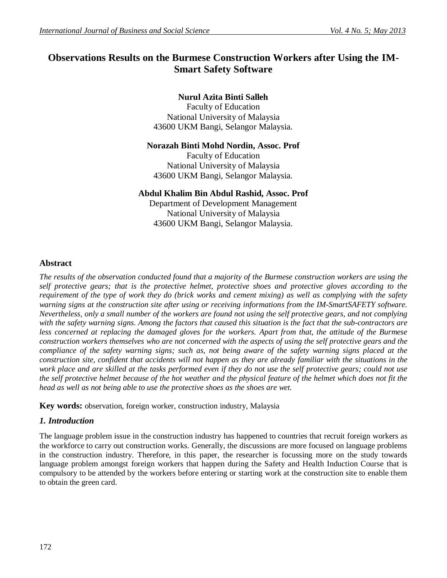# **Observations Results on the Burmese Construction Workers after Using the IM-Smart Safety Software**

# **Nurul Azita Binti Salleh**

Faculty of Education National University of Malaysia 43600 UKM Bangi, Selangor Malaysia.

## **Norazah Binti Mohd Nordin, Assoc. Prof**

Faculty of Education National University of Malaysia 43600 UKM Bangi, Selangor Malaysia.

## **Abdul Khalim Bin Abdul Rashid, Assoc. Prof**

Department of Development Management National University of Malaysia 43600 UKM Bangi, Selangor Malaysia.

## **Abstract**

*The results of the observation conducted found that a majority of the Burmese construction workers are using the self protective gears; that is the protective helmet, protective shoes and protective gloves according to the requirement of the type of work they do (brick works and cement mixing) as well as complying with the safety warning signs at the construction site after using or receiving informations from the IM-SmartSAFETY software. Nevertheless, only a small number of the workers are found not using the self protective gears, and not complying with the safety warning signs. Among the factors that caused this situation is the fact that the sub-contractors are less concerned at replacing the damaged gloves for the workers. Apart from that, the attitude of the Burmese construction workers themselves who are not concerned with the aspects of using the self protective gears and the compliance of the safety warning signs; such as, not being aware of the safety warning signs placed at the construction site, confident that accidents will not happen as they are already familiar with the situations in the*  work place and are skilled at the tasks performed even if they do not use the self protective gears; could not use *the self protective helmet because of the hot weather and the physical feature of the helmet which does not fit the head as well as not being able to use the protective shoes as the shoes are wet.*

**Key words:** observation, foreign worker, construction industry, Malaysia

## *1. Introduction*

The language problem issue in the construction industry has happened to countries that recruit foreign workers as the workforce to carry out construction works. Generally, the discussions are more focused on language problems in the construction industry. Therefore, in this paper, the researcher is focussing more on the study towards language problem amongst foreign workers that happen during the Safety and Health Induction Course that is compulsory to be attended by the workers before entering or starting work at the construction site to enable them to obtain the green card.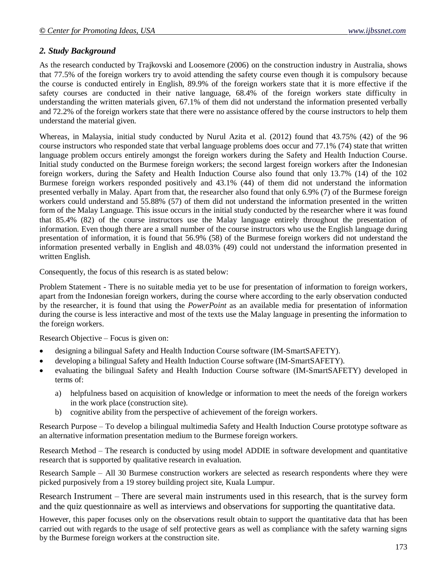## *2. Study Background*

As the research conducted by Trajkovski and Loosemore (2006) on the construction industry in Australia, shows that 77.5% of the foreign workers try to avoid attending the safety course even though it is compulsory because the course is conducted entirely in English, 89.9% of the foreign workers state that it is more effective if the safety courses are conducted in their native language, 68.4% of the foreign workers state difficulty in understanding the written materials given, 67.1% of them did not understand the information presented verbally and 72.2% of the foreign workers state that there were no assistance offered by the course instructors to help them understand the material given.

Whereas, in Malaysia, initial study conducted by Nurul Azita et al. (2012) found that 43.75% (42) of the 96 course instructors who responded state that verbal language problems does occur and 77.1% (74) state that written language problem occurs entirely amongst the foreign workers during the Safety and Health Induction Course. Initial study conducted on the Burmese foreign workers; the second largest foreign workers after the Indonesian foreign workers, during the Safety and Health Induction Course also found that only 13.7% (14) of the 102 Burmese foreign workers responded positively and 43.1% (44) of them did not understand the information presented verbally in Malay. Apart from that, the researcher also found that only 6.9% (7) of the Burmese foreign workers could understand and 55.88% (57) of them did not understand the information presented in the written form of the Malay Language. This issue occurs in the initial study conducted by the researcher where it was found that 85.4% (82) of the course instructors use the Malay language entirely throughout the presentation of information. Even though there are a small number of the course instructors who use the English language during presentation of information, it is found that 56.9% (58) of the Burmese foreign workers did not understand the information presented verbally in English and 48.03% (49) could not understand the information presented in written English.

Consequently, the focus of this research is as stated below:

Problem Statement - There is no suitable media yet to be use for presentation of information to foreign workers, apart from the Indonesian foreign workers, during the course where according to the early observation conducted by the researcher, it is found that using the *PowerPoint* as an available media for presentation of information during the course is less interactive and most of the texts use the Malay language in presenting the information to the foreign workers.

Research Objective – Focus is given on:

- designing a bilingual Safety and Health Induction Course software (IM-SmartSAFETY).
- developing a bilingual Safety and Health Induction Course software (IM-SmartSAFETY).
- evaluating the bilingual Safety and Health Induction Course software (IM-SmartSAFETY) developed in terms of:
	- a) helpfulness based on acquisition of knowledge or information to meet the needs of the foreign workers in the work place (construction site).
	- b) cognitive ability from the perspective of achievement of the foreign workers.

Research Purpose – To develop a bilingual multimedia Safety and Health Induction Course prototype software as an alternative information presentation medium to the Burmese foreign workers.

Research Method – The research is conducted by using model ADDIE in software development and quantitative research that is supported by qualitative research in evaluation.

Research Sample – All 30 Burmese construction workers are selected as research respondents where they were picked purposively from a 19 storey building project site, Kuala Lumpur.

Research Instrument – There are several main instruments used in this research, that is the survey form and the quiz questionnaire as well as interviews and observations for supporting the quantitative data.

However, this paper focuses only on the observations result obtain to support the quantitative data that has been carried out with regards to the usage of self protective gears as well as compliance with the safety warning signs by the Burmese foreign workers at the construction site.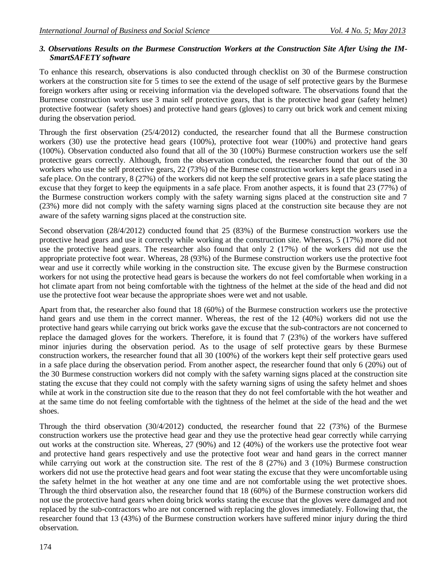#### *3. Observations Results on the Burmese Construction Workers at the Construction Site After Using the IM-SmartSAFETY software*

To enhance this research, observations is also conducted through checklist on 30 of the Burmese construction workers at the construction site for 5 times to see the extend of the usage of self protective gears by the Burmese foreign workers after using or receiving information via the developed software. The observations found that the Burmese construction workers use 3 main self protective gears, that is the protective head gear (safety helmet) protective footwear (safety shoes) and protective hand gears (gloves) to carry out brick work and cement mixing during the observation period.

Through the first observation (25/4/2012) conducted, the researcher found that all the Burmese construction workers (30) use the protective head gears (100%), protective foot wear (100%) and protective hand gears (100%). Observation conducted also found that all of the 30 (100%) Burmese construction workers use the self protective gears correctly. Although, from the observation conducted, the researcher found that out of the 30 workers who use the self protective gears, 22 (73%) of the Burmese construction workers kept the gears used in a safe place. On the contrary, 8 (27%) of the workers did not keep the self protective gears in a safe place stating the excuse that they forget to keep the equipments in a safe place. From another aspects, it is found that 23 (77%) of the Burmese construction workers comply with the safety warning signs placed at the construction site and 7 (23%) more did not comply with the safety warning signs placed at the construction site because they are not aware of the safety warning signs placed at the construction site.

Second observation (28/4/2012) conducted found that 25 (83%) of the Burmese construction workers use the protective head gears and use it correctly while working at the construction site. Whereas, 5 (17%) more did not use the protective head gears. The researcher also found that only 2 (17%) of the workers did not use the appropriate protective foot wear. Whereas, 28 (93%) of the Burmese construction workers use the protective foot wear and use it correctly while working in the construction site. The excuse given by the Burmese construction workers for not using the protective head gears is because the workers do not feel comfortable when working in a hot climate apart from not being comfortable with the tightness of the helmet at the side of the head and did not use the protective foot wear because the appropriate shoes were wet and not usable.

Apart from that, the researcher also found that 18 (60%) of the Burmese construction workers use the protective hand gears and use them in the correct manner. Whereas, the rest of the 12 (40%) workers did not use the protective hand gears while carrying out brick works gave the excuse that the sub-contractors are not concerned to replace the damaged gloves for the workers. Therefore, it is found that 7 (23%) of the workers have suffered minor injuries during the observation period. As to the usage of self protective gears by these Burmese construction workers, the researcher found that all 30 (100%) of the workers kept their self protective gears used in a safe place during the observation period. From another aspect, the researcher found that only 6 (20%) out of the 30 Burmese construction workers did not comply with the safety warning signs placed at the construction site stating the excuse that they could not comply with the safety warning signs of using the safety helmet and shoes while at work in the construction site due to the reason that they do not feel comfortable with the hot weather and at the same time do not feeling comfortable with the tightness of the helmet at the side of the head and the wet shoes.

Through the third observation (30/4/2012) conducted, the researcher found that 22 (73%) of the Burmese construction workers use the protective head gear and they use the protective head gear correctly while carrying out works at the construction site. Whereas, 27 (90%) and 12 (40%) of the workers use the protective foot wear and protective hand gears respectively and use the protective foot wear and hand gears in the correct manner while carrying out work at the construction site. The rest of the 8 (27%) and 3 (10%) Burmese construction workers did not use the protective head gears and foot wear stating the excuse that they were uncomfortable using the safety helmet in the hot weather at any one time and are not comfortable using the wet protective shoes. Through the third observation also, the researcher found that 18 (60%) of the Burmese construction workers did not use the protective hand gears when doing brick works stating the excuse that the gloves were damaged and not replaced by the sub-contractors who are not concerned with replacing the gloves immediately. Following that, the researcher found that 13 (43%) of the Burmese construction workers have suffered minor injury during the third observation.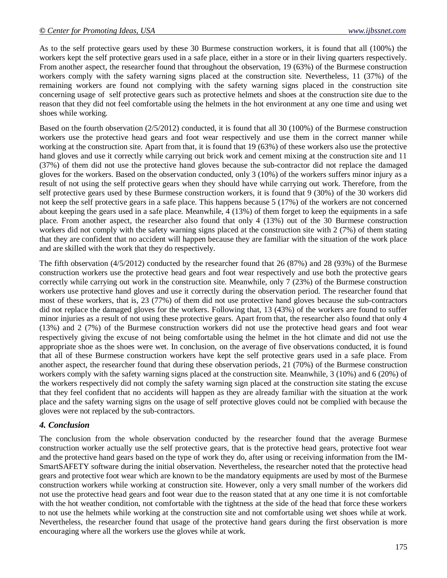As to the self protective gears used by these 30 Burmese construction workers, it is found that all (100%) the workers kept the self protective gears used in a safe place, either in a store or in their living quarters respectively. From another aspect, the researcher found that throughout the observation, 19 (63%) of the Burmese construction workers comply with the safety warning signs placed at the construction site. Nevertheless, 11 (37%) of the remaining workers are found not complying with the safety warning signs placed in the construction site concerning usage of self protective gears such as protective helmets and shoes at the construction site due to the reason that they did not feel comfortable using the helmets in the hot environment at any one time and using wet shoes while working.

Based on the fourth observation (2/5/2012) conducted, it is found that all 30 (100%) of the Burmese construction workers use the protective head gears and foot wear respectively and use them in the correct manner while working at the construction site. Apart from that, it is found that 19 (63%) of these workers also use the protective hand gloves and use it correctly while carrying out brick work and cement mixing at the construction site and 11 (37%) of them did not use the protective hand gloves because the sub-contractor did not replace the damaged gloves for the workers. Based on the observation conducted, only 3 (10%) of the workers suffers minor injury as a result of not using the self protective gears when they should have while carrying out work. Therefore, from the self protective gears used by these Burmese construction workers, it is found that 9 (30%) of the 30 workers did not keep the self protective gears in a safe place. This happens because 5 (17%) of the workers are not concerned about keeping the gears used in a safe place. Meanwhile, 4 (13%) of them forget to keep the equipments in a safe place. From another aspect, the researcher also found that only 4 (13%) out of the 30 Burmese construction workers did not comply with the safety warning signs placed at the construction site with 2 (7%) of them stating that they are confident that no accident will happen because they are familiar with the situation of the work place and are skilled with the work that they do respectively.

The fifth observation (4/5/2012) conducted by the researcher found that 26 (87%) and 28 (93%) of the Burmese construction workers use the protective head gears and foot wear respectively and use both the protective gears correctly while carrying out work in the construction site. Meanwhile, only 7 (23%) of the Burmese construction workers use protective hand gloves and use it correctly during the observation period. The researcher found that most of these workers, that is, 23 (77%) of them did not use protective hand gloves because the sub-contractors did not replace the damaged gloves for the workers. Following that, 13 (43%) of the workers are found to suffer minor injuries as a result of not using these protective gears. Apart from that, the researcher also found that only 4 (13%) and 2 (7%) of the Burmese construction workers did not use the protective head gears and foot wear respectively giving the excuse of not being comfortable using the helmet in the hot climate and did not use the appropriate shoe as the shoes were wet. In conclusion, on the average of five observations conducted, it is found that all of these Burmese construction workers have kept the self protective gears used in a safe place. From another aspect, the researcher found that during these observation periods, 21 (70%) of the Burmese construction workers comply with the safety warning signs placed at the construction site. Meanwhile, 3 (10%) and 6 (20%) of the workers respectively did not comply the safety warning sign placed at the construction site stating the excuse that they feel confident that no accidents will happen as they are already familiar with the situation at the work place and the safety warning signs on the usage of self protective gloves could not be complied with because the gloves were not replaced by the sub-contractors.

#### *4. Conclusion*

The conclusion from the whole observation conducted by the researcher found that the average Burmese construction worker actually use the self protective gears, that is the protective head gears, protective foot wear and the protective hand gears based on the type of work they do, after using or receiving information from the IM-SmartSAFETY software during the initial observation. Nevertheless, the researcher noted that the protective head gears and protective foot wear which are known to be the mandatory equipments are used by most of the Burmese construction workers while working at construction site. However, only a very small number of the workers did not use the protective head gears and foot wear due to the reason stated that at any one time it is not comfortable with the hot weather condition, not comfortable with the tightness at the side of the head that force these workers to not use the helmets while working at the construction site and not comfortable using wet shoes while at work. Nevertheless, the researcher found that usage of the protective hand gears during the first observation is more encouraging where all the workers use the gloves while at work.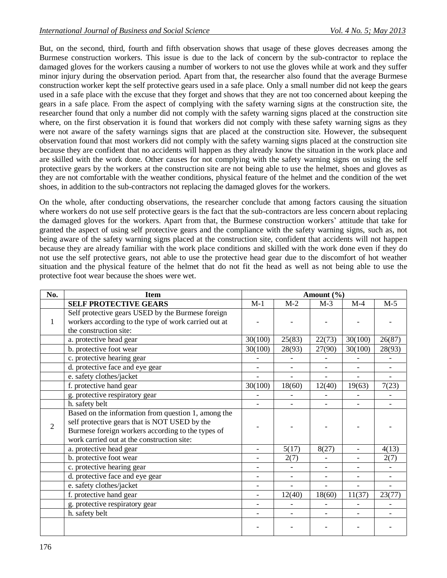But, on the second, third, fourth and fifth observation shows that usage of these gloves decreases among the Burmese construction workers. This issue is due to the lack of concern by the sub-contractor to replace the damaged gloves for the workers causing a number of workers to not use the gloves while at work and they suffer minor injury during the observation period. Apart from that, the researcher also found that the average Burmese construction worker kept the self protective gears used in a safe place. Only a small number did not keep the gears used in a safe place with the excuse that they forget and shows that they are not too concerned about keeping the gears in a safe place. From the aspect of complying with the safety warning signs at the construction site, the researcher found that only a number did not comply with the safety warning signs placed at the construction site where, on the first observation it is found that workers did not comply with these safety warning signs as they were not aware of the safety warnings signs that are placed at the construction site. However, the subsequent observation found that most workers did not comply with the safety warning signs placed at the construction site because they are confident that no accidents will happen as they already know the situation in the work place and are skilled with the work done. Other causes for not complying with the safety warning signs on using the self protective gears by the workers at the construction site are not being able to use the helmet, shoes and gloves as they are not comfortable with the weather conditions, physical feature of the helmet and the condition of the wet shoes, in addition to the sub-contractors not replacing the damaged gloves for the workers.

On the whole, after conducting observations, the researcher conclude that among factors causing the situation where workers do not use self protective gears is the fact that the sub-contractors are less concern about replacing the damaged gloves for the workers. Apart from that, the Burmese construction workers' attitude that take for granted the aspect of using self protective gears and the compliance with the safety warning signs, such as, not being aware of the safety warning signs placed at the construction site, confident that accidents will not happen because they are already familiar with the work place conditions and skilled with the work done even if they do not use the self protective gears, not able to use the protective head gear due to the discomfort of hot weather situation and the physical feature of the helmet that do not fit the head as well as not being able to use the protective foot wear because the shoes were wet.

| No. | <b>Item</b>                                                                                                                                                                                             | Amount $(\% )$           |                          |                          |                          |                          |
|-----|---------------------------------------------------------------------------------------------------------------------------------------------------------------------------------------------------------|--------------------------|--------------------------|--------------------------|--------------------------|--------------------------|
|     | <b>SELF PROTECTIVE GEARS</b>                                                                                                                                                                            | $M-1$                    | $M-2$                    | $M-3$                    | $M-4$                    | $M-5$                    |
| 1   | Self protective gears USED by the Burmese foreign<br>workers according to the type of work carried out at                                                                                               |                          |                          |                          |                          |                          |
|     | the construction site:                                                                                                                                                                                  |                          |                          |                          |                          |                          |
|     | a. protective head gear                                                                                                                                                                                 | 30(100)                  | 25(83)                   | 22(73)                   | 30(100)                  | 26(87)                   |
|     | b. protective foot wear                                                                                                                                                                                 | 30(100)                  | 28(93)                   | 27(90)                   | 30(100)                  | 28(93)                   |
|     | c. protective hearing gear                                                                                                                                                                              |                          |                          |                          |                          |                          |
|     | d. protective face and eye gear                                                                                                                                                                         | $\overline{\phantom{a}}$ |                          | $\overline{\phantom{a}}$ |                          |                          |
|     | e. safety clothes/jacket                                                                                                                                                                                | $\overline{a}$           | $\overline{\phantom{0}}$ | $\overline{a}$           | $\overline{\phantom{0}}$ | $\overline{\phantom{0}}$ |
|     | f. protective hand gear                                                                                                                                                                                 | 30(100)                  | 18(60)                   | 12(40)                   | 19(63)                   | 7(23)                    |
|     | g. protective respiratory gear                                                                                                                                                                          |                          |                          |                          |                          |                          |
|     | h. safety belt                                                                                                                                                                                          |                          |                          |                          |                          |                          |
| 2   | Based on the information from question 1, among the<br>self protective gears that is NOT USED by the<br>Burmese foreign workers according to the types of<br>work carried out at the construction site: |                          |                          |                          |                          |                          |
|     | a. protective head gear                                                                                                                                                                                 | $\overline{\phantom{0}}$ | 5(17)                    | 8(27)                    | $\overline{\phantom{0}}$ | 4(13)                    |
|     | b. protective foot wear                                                                                                                                                                                 | $\overline{\phantom{0}}$ | 2(7)                     |                          | $\overline{\phantom{0}}$ | 2(7)                     |
|     | c. protective hearing gear                                                                                                                                                                              | $\overline{a}$           |                          | $\overline{\phantom{0}}$ |                          |                          |
|     | d. protective face and eye gear                                                                                                                                                                         |                          |                          |                          |                          |                          |
|     | e. safety clothes/jacket                                                                                                                                                                                |                          | $\overline{a}$           | $\overline{a}$           | $\equiv$                 |                          |
|     | f. protective hand gear                                                                                                                                                                                 | $\overline{\phantom{0}}$ | 12(40)                   | 18(60)                   | 11(37)                   | 23(77)                   |
|     | g. protective respiratory gear                                                                                                                                                                          | $\overline{\phantom{a}}$ |                          |                          | $\overline{\phantom{0}}$ |                          |
|     | h. safety belt                                                                                                                                                                                          |                          |                          |                          |                          |                          |
|     |                                                                                                                                                                                                         |                          |                          |                          |                          |                          |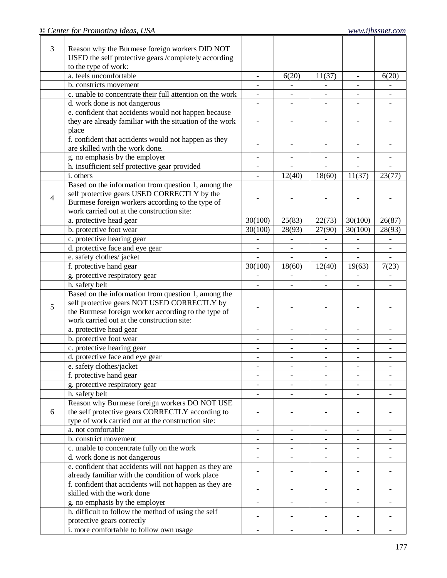| 3 | Reason why the Burmese foreign workers DID NOT            |                          |                          |                              |                          |                          |
|---|-----------------------------------------------------------|--------------------------|--------------------------|------------------------------|--------------------------|--------------------------|
|   | USED the self protective gears /completely according      |                          |                          |                              |                          |                          |
|   | to the type of work:                                      |                          |                          |                              |                          |                          |
|   | a. feels uncomfortable                                    | $\overline{\phantom{a}}$ | 6(20)                    | 11(37)                       | $\overline{\phantom{a}}$ | 6(20)                    |
|   | b. constricts movement                                    |                          |                          |                              | $\overline{\phantom{a}}$ |                          |
|   | c. unable to concentrate their full attention on the work | $\blacksquare$           | $\overline{\phantom{a}}$ |                              |                          |                          |
|   | d. work done is not dangerous                             |                          |                          |                              |                          |                          |
|   | e. confident that accidents would not happen because      |                          |                          |                              |                          |                          |
|   | they are already familiar with the situation of the work  |                          |                          |                              |                          |                          |
|   | place                                                     |                          |                          |                              |                          |                          |
|   | f. confident that accidents would not happen as they      |                          |                          |                              |                          |                          |
|   | are skilled with the work done.                           |                          |                          |                              |                          |                          |
|   | g. no emphasis by the employer                            | $\blacksquare$           | $\overline{\phantom{a}}$ | $\overline{\phantom{0}}$     | $\overline{\phantom{a}}$ |                          |
|   | h. insufficient self protective gear provided             |                          |                          |                              |                          |                          |
|   | i. others                                                 |                          | 12(40)                   | 18(60)                       | 11(37)                   | 23(77)                   |
|   | Based on the information from question 1, among the       |                          |                          |                              |                          |                          |
| 4 | self protective gears USED CORRECTLY by the               |                          |                          |                              |                          |                          |
|   | Burmese foreign workers according to the type of          |                          |                          |                              |                          |                          |
|   | work carried out at the construction site:                |                          |                          |                              |                          |                          |
|   | a. protective head gear                                   | 30(100)                  | 25(83)                   | 22(73)                       | 30(100)                  | 26(87)                   |
|   | b. protective foot wear                                   | 30(100)                  | 28(93)                   | 27(90)                       | 30(100)                  | 28(93)                   |
|   | c. protective hearing gear                                |                          |                          |                              |                          |                          |
|   | d. protective face and eye gear                           |                          |                          |                              |                          | $\overline{\phantom{a}}$ |
|   | e. safety clothes/jacket                                  |                          |                          |                              |                          |                          |
|   | f. protective hand gear                                   | 30(100)                  | 18(60)                   | 12(40)                       | 19(63)                   | 7(23)                    |
|   | g. protective respiratory gear                            |                          | $\overline{\phantom{0}}$ | $\overline{\phantom{a}}$     | $\overline{\phantom{a}}$ |                          |
|   | h. safety belt                                            |                          |                          |                              |                          |                          |
|   | Based on the information from question 1, among the       |                          |                          |                              |                          |                          |
| 5 | self protective gears NOT USED CORRECTLY by               |                          |                          |                              |                          |                          |
|   | the Burmese foreign worker according to the type of       |                          |                          |                              |                          |                          |
|   | work carried out at the construction site:                |                          |                          |                              |                          |                          |
|   | a. protective head gear                                   | $\overline{\phantom{a}}$ | $\overline{\phantom{a}}$ | $\qquad \qquad -$            | $\overline{\phantom{a}}$ | $\overline{\phantom{a}}$ |
|   | b. protective foot wear                                   | $\overline{\phantom{a}}$ | $\overline{\phantom{a}}$ | $\overline{\phantom{a}}$     | $\overline{\phantom{a}}$ | $\overline{\phantom{a}}$ |
|   | c. protective hearing gear                                | $\overline{\phantom{a}}$ | $\overline{\phantom{0}}$ | $\overline{a}$               | $\overline{\phantom{a}}$ | $\overline{\phantom{a}}$ |
|   | d. protective face and eye gear                           | $\overline{\phantom{a}}$ | $\overline{\phantom{a}}$ |                              |                          | $\overline{\phantom{a}}$ |
|   | e. safety clothes/jacket                                  |                          |                          |                              |                          |                          |
|   | f. protective hand gear                                   |                          |                          |                              |                          |                          |
|   | g. protective respiratory gear                            |                          |                          |                              |                          |                          |
|   | h. safety belt                                            |                          |                          |                              |                          |                          |
|   | Reason why Burmese foreign workers DO NOT USE             |                          |                          |                              |                          |                          |
| 6 | the self protective gears CORRECTLY according to          |                          |                          |                              |                          |                          |
|   | type of work carried out at the construction site:        |                          |                          |                              |                          |                          |
|   | a. not comfortable                                        | $\overline{\phantom{a}}$ | $\qquad \qquad -$        | $\qquad \qquad \blacksquare$ |                          |                          |
|   | b. constrict movement                                     | $\overline{\phantom{a}}$ | $\overline{\phantom{a}}$ | $\overline{\phantom{a}}$     |                          |                          |
|   | c. unable to concentrate fully on the work                | $\overline{\phantom{a}}$ | $\overline{\phantom{a}}$ | $\overline{\phantom{0}}$     | $\overline{\phantom{a}}$ | $\overline{\phantom{a}}$ |
|   | d. work done is not dangerous                             | $\overline{\phantom{0}}$ | $\overline{a}$           |                              | $\overline{\phantom{0}}$ |                          |
|   | e. confident that accidents will not happen as they are   | $\overline{\phantom{0}}$ |                          |                              |                          |                          |
|   | already familiar with the condition of work place         |                          |                          |                              |                          |                          |
|   | f. confident that accidents will not happen as they are   |                          |                          |                              |                          |                          |
|   | skilled with the work done                                |                          |                          |                              |                          |                          |
|   | g. no emphasis by the employer                            |                          |                          |                              |                          |                          |
|   | h. difficult to follow the method of using the self       |                          |                          |                              |                          |                          |
|   | protective gears correctly                                |                          |                          |                              |                          |                          |
|   | i. more comfortable to follow own usage                   |                          |                          |                              |                          |                          |